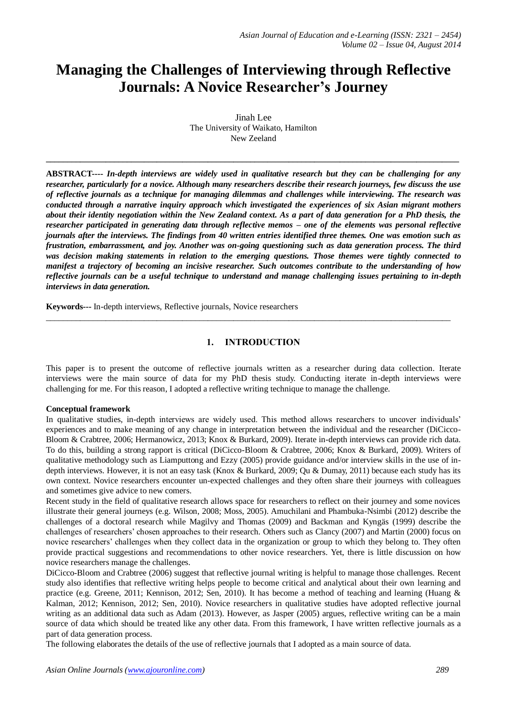# **Managing the Challenges of Interviewing through Reflective Journals: A Novice Researcher's Journey**

Jinah Lee The University of Waikato, Hamilton New Zeeland

**\_\_\_\_\_\_\_\_\_\_\_\_\_\_\_\_\_\_\_\_\_\_\_\_\_\_\_\_\_\_\_\_\_\_\_\_\_\_\_\_\_\_\_\_\_\_\_\_\_\_\_\_\_\_\_\_\_\_\_\_\_\_\_\_\_\_\_\_\_\_\_\_\_\_\_\_\_\_\_\_\_\_\_\_\_\_\_\_\_\_\_\_\_\_\_\_\_**

**ABSTRACT----** *In-depth interviews are widely used in qualitative research but they can be challenging for any researcher, particularly for a novice. Although many researchers describe their research journeys, few discuss the use of reflective journals as a technique for managing dilemmas and challenges while interviewing. The research was conducted through a narrative inquiry approach which investigated the experiences of six Asian migrant mothers about their identity negotiation within the New Zealand context. As a part of data generation for a PhD thesis, the researcher participated in generating data through reflective memos – one of the elements was personal reflective journals after the interviews. The findings from 40 written entries identified three themes. One was emotion such as frustration, embarrassment, and joy. Another was on-going questioning such as data generation process. The third was decision making statements in relation to the emerging questions. Those themes were tightly connected to manifest a trajectory of becoming an incisive researcher. Such outcomes contribute to the understanding of how reflective journals can be a useful technique to understand and manage challenging issues pertaining to in-depth interviews in data generation.*

**Keywords---** In-depth interviews, Reflective journals, Novice researchers

# **1. INTRODUCTION**

 $\_$  ,  $\_$  ,  $\_$  ,  $\_$  ,  $\_$  ,  $\_$  ,  $\_$  ,  $\_$  ,  $\_$  ,  $\_$  ,  $\_$  ,  $\_$  ,  $\_$  ,  $\_$  ,  $\_$  ,  $\_$  ,  $\_$  ,  $\_$  ,  $\_$  ,  $\_$  ,  $\_$  ,  $\_$  ,  $\_$  ,  $\_$  ,  $\_$  ,  $\_$  ,  $\_$  ,  $\_$  ,  $\_$  ,  $\_$  ,  $\_$  ,  $\_$  ,  $\_$  ,  $\_$  ,  $\_$  ,  $\_$  ,  $\_$  ,

This paper is to present the outcome of reflective journals written as a researcher during data collection. Iterate interviews were the main source of data for my PhD thesis study. Conducting iterate in-depth interviews were challenging for me. For this reason, I adopted a reflective writing technique to manage the challenge.

### **Conceptual framework**

In qualitative studies, in-depth interviews are widely used. This method allows researchers to uncover individuals' experiences and to make meaning of any change in interpretation between the individual and the researcher (DiCicco-Bloom & Crabtree, 2006; Hermanowicz, 2013; Knox & Burkard, 2009). Iterate in-depth interviews can provide rich data. To do this, building a strong rapport is critical (DiCicco-Bloom & Crabtree, 2006; Knox & Burkard, 2009). Writers of qualitative methodology such as Liamputtong and Ezzy (2005) provide guidance and/or interview skills in the use of indepth interviews. However, it is not an easy task (Knox & Burkard, 2009; Qu & Dumay, 2011) because each study has its own context. Novice researchers encounter un-expected challenges and they often share their journeys with colleagues and sometimes give advice to new comers.

Recent study in the field of qualitative research allows space for researchers to reflect on their journey and some novices illustrate their general journeys (e.g. Wilson, 2008; Moss, 2005). Amuchilani and Phambuka-Nsimbi (2012) describe the challenges of a doctoral research while Magilvy and Thomas (2009) and Backman and Kyngäs (1999) describe the challenges of researchers' chosen approaches to their research. Others such as Clancy (2007) and Martin (2000) focus on novice researchers' challenges when they collect data in the organization or group to which they belong to. They often provide practical suggestions and recommendations to other novice researchers. Yet, there is little discussion on how novice researchers manage the challenges.

DiCicco-Bloom and Crabtree (2006) suggest that reflective journal writing is helpful to manage those challenges. Recent study also identifies that reflective writing helps people to become critical and analytical about their own learning and practice (e.g. Greene, 2011; Kennison, 2012; Sen, 2010). It has become a method of teaching and learning (Huang & Kalman, 2012; Kennison, 2012; Sen, 2010). Novice researchers in qualitative studies have adopted reflective journal writing as an additional data such as Adam (2013). However, as Jasper (2005) argues, reflective writing can be a main source of data which should be treated like any other data. From this framework, I have written reflective journals as a part of data generation process.

The following elaborates the details of the use of reflective journals that I adopted as a main source of data.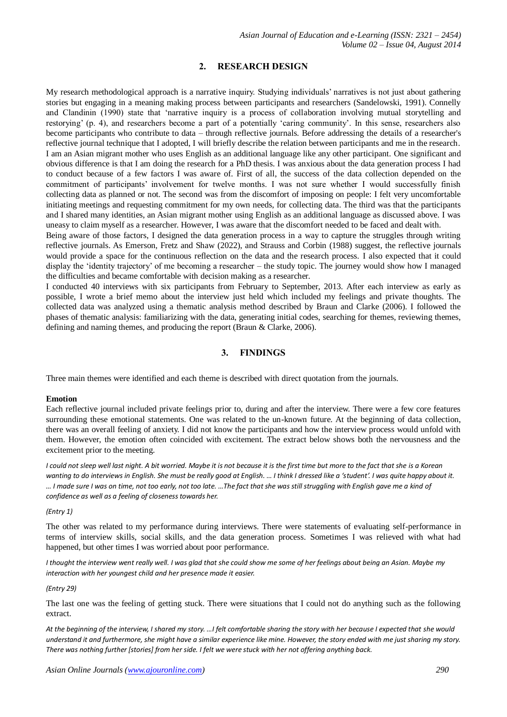# **2. RESEARCH DESIGN**

My research methodological approach is a narrative inquiry. Studying individuals' narratives is not just about gathering stories but engaging in a meaning making process between participants and researchers (Sandelowski, 1991). Connelly and Clandinin (1990) state that 'narrative inquiry is a process of collaboration involving mutual storytelling and restorying' (p. 4), and researchers become a part of a potentially 'caring community'. In this sense, researchers also become participants who contribute to data – through reflective journals. Before addressing the details of a researcher's reflective journal technique that I adopted, I will briefly describe the relation between participants and me in the research. I am an Asian migrant mother who uses English as an additional language like any other participant. One significant and obvious difference is that I am doing the research for a PhD thesis. I was anxious about the data generation process I had to conduct because of a few factors I was aware of. First of all, the success of the data collection depended on the commitment of participants' involvement for twelve months. I was not sure whether I would successfully finish collecting data as planned or not. The second was from the discomfort of imposing on people: I felt very uncomfortable initiating meetings and requesting commitment for my own needs, for collecting data. The third was that the participants and I shared many identities, an Asian migrant mother using English as an additional language as discussed above. I was uneasy to claim myself as a researcher. However, I was aware that the discomfort needed to be faced and dealt with.

Being aware of those factors, I designed the data generation process in a way to capture the struggles through writing reflective journals. As Emerson, Fretz and Shaw (2022), and Strauss and Corbin (1988) suggest, the reflective journals would provide a space for the continuous reflection on the data and the research process. I also expected that it could display the 'identity trajectory' of me becoming a researcher – the study topic. The journey would show how I managed the difficulties and became comfortable with decision making as a researcher.

I conducted 40 interviews with six participants from February to September, 2013. After each interview as early as possible, I wrote a brief memo about the interview just held which included my feelings and private thoughts. The collected data was analyzed using a thematic analysis method described by Braun and Clarke (2006). I followed the phases of thematic analysis: familiarizing with the data, generating initial codes, searching for themes, reviewing themes, defining and naming themes, and producing the report (Braun & Clarke, 2006).

# **3. FINDINGS**

Three main themes were identified and each theme is described with direct quotation from the journals.

### **Emotion**

Each reflective journal included private feelings prior to, during and after the interview. There were a few core features surrounding these emotional statements. One was related to the un-known future. At the beginning of data collection, there was an overall feeling of anxiety. I did not know the participants and how the interview process would unfold with them. However, the emotion often coincided with excitement. The extract below shows both the nervousness and the excitement prior to the meeting.

*I could not sleep well last night. A bit worried. Maybe it is not because it is the first time but more to the fact that she is a Korean wanting to do interviews in English. She must be really good at English. … I think I dressed like a 'student'. I was quite happy about it. … I made sure I was on time, not too early, not too late. …The fact that she was still struggling with English gave me a kind of confidence as well as a feeling of closeness towards her.*

### *(Entry 1)*

The other was related to my performance during interviews. There were statements of evaluating self-performance in terms of interview skills, social skills, and the data generation process. Sometimes I was relieved with what had happened, but other times I was worried about poor performance.

*I thought the interview went really well. I was glad that she could show me some of her feelings about being an Asian. Maybe my interaction with her youngest child and her presence made it easier.*

### *(Entry 29)*

The last one was the feeling of getting stuck. There were situations that I could not do anything such as the following extract.

At the beginning of the interview, I shared my story. …I felt comfortable sharing the story with her because I expected that she would *understand it and furthermore, she might have a similar experience like mine. However, the story ended with me just sharing my story. There was nothing further [stories] from her side. I felt we were stuck with her not offering anything back.*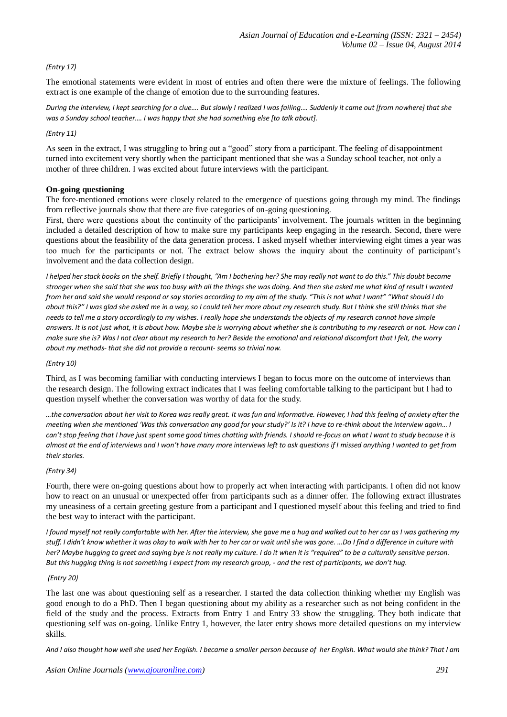# *(Entry 17)*

The emotional statements were evident in most of entries and often there were the mixture of feelings. The following extract is one example of the change of emotion due to the surrounding features.

*During the interview, I kept searching for a clue…. But slowly I realized I was failing…. Suddenly it came out [from nowhere] that she was a Sunday school teacher…. I was happy that she had something else [to talk about].* 

## *(Entry 11)*

As seen in the extract, I was struggling to bring out a "good" story from a participant. The feeling of disappointment turned into excitement very shortly when the participant mentioned that she was a Sunday school teacher, not only a mother of three children. I was excited about future interviews with the participant.

## **On-going questioning**

The fore-mentioned emotions were closely related to the emergence of questions going through my mind. The findings from reflective journals show that there are five categories of on-going questioning.

First, there were questions about the continuity of the participants' involvement. The journals written in the beginning included a detailed description of how to make sure my participants keep engaging in the research. Second, there were questions about the feasibility of the data generation process. I asked myself whether interviewing eight times a year was too much for the participants or not. The extract below shows the inquiry about the continuity of participant's involvement and the data collection design.

*I helped her stack books on the shelf. Briefly I thought, "Am I bothering her? She may really not want to do this." This doubt became stronger when she said that she was too busy with all the things she was doing. And then she asked me what kind of result I wanted from her and said she would respond or say stories according to my aim of the study. "This is not what I want" "What should I do about this?" I was glad she asked me in a way, so I could tell her more about my research study. But I think she still thinks that she needs to tell me a story accordingly to my wishes. I really hope she understands the objects of my research cannot have simple answers. It is not just what, it is about how. Maybe she is worrying about whether she is contributing to my research or not. How can I make sure she is? Was I not clear about my research to her? Beside the emotional and relational discomfort that I felt, the worry about my methods- that she did not provide a recount- seems so trivial now.* 

### *(Entry 10)*

Third, as I was becoming familiar with conducting interviews I began to focus more on the outcome of interviews than the research design. The following extract indicates that I was feeling comfortable talking to the participant but I had to question myself whether the conversation was worthy of data for the study.

*…the conversation about her visit to Korea was really great. It was fun and informative. However, I had this feeling of anxiety after the meeting when she mentioned 'Was this conversation any good for your study?' Is it? I have to re-think about the interview again… I can't stop feeling that I have just spent some good times chatting with friends. I should re-focus on what I want to study because it is almost at the end of interviews and I won't have many more interviews left to ask questions if I missed anything I wanted to get from their stories.*

### *(Entry 34)*

Fourth, there were on-going questions about how to properly act when interacting with participants. I often did not know how to react on an unusual or unexpected offer from participants such as a dinner offer. The following extract illustrates my uneasiness of a certain greeting gesture from a participant and I questioned myself about this feeling and tried to find the best way to interact with the participant.

*I found myself not really comfortable with her. After the interview, she gave me a hug and walked out to her car as I was gathering my stuff. I didn't know whether it was okay to walk with her to her car or wait until she was gone. …Do I find a difference in culture with her? Maybe hugging to greet and saying bye is not really my culture. I do it when it is "required" to be a culturally sensitive person. But this hugging thing is not something I expect from my research group, - and the rest of participants, we don't hug.* 

### *(Entry 20)*

The last one was about questioning self as a researcher. I started the data collection thinking whether my English was good enough to do a PhD. Then I began questioning about my ability as a researcher such as not being confident in the field of the study and the process. Extracts from Entry 1 and Entry 33 show the struggling. They both indicate that questioning self was on-going. Unlike Entry 1, however, the later entry shows more detailed questions on my interview skills.

*And I also thought how well she used her English. I became a smaller person because of her English. What would she think? That I am*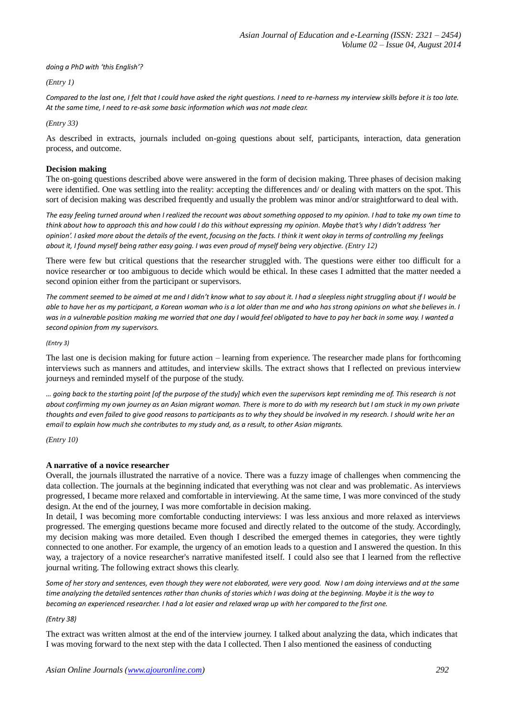*doing a PhD with 'this English'?*

*(Entry 1)*

*Compared to the last one, I felt that I could have asked the right questions. I need to re-harness my interview skills before it is too late. At the same time, I need to re-ask some basic information which was not made clear.* 

*(Entry 33)*

As described in extracts, journals included on-going questions about self, participants, interaction, data generation process, and outcome.

# **Decision making**

The on-going questions described above were answered in the form of decision making. Three phases of decision making were identified. One was settling into the reality: accepting the differences and/ or dealing with matters on the spot. This sort of decision making was described frequently and usually the problem was minor and/or straightforward to deal with.

*The easy feeling turned around when I realized the recount was about something opposed to my opinion. I had to take my own time to think about how to approach this and how could I do this without expressing my opinion. Maybe that's why I didn't address 'her opinion'. I asked more about the details of the event, focusing on the facts. I think it went okay in terms of controlling my feelings about it, I found myself being rather easy going. I was even proud of myself being very objective. (Entry 12)*

There were few but critical questions that the researcher struggled with. The questions were either too difficult for a novice researcher or too ambiguous to decide which would be ethical. In these cases I admitted that the matter needed a second opinion either from the participant or supervisors.

The comment seemed to be aimed at me and I didn't know what to say about it. I had a sleepless night struggling about if I would be *able to have her as my participant, a Korean woman who is a lot older than me and who has strong opinions on what she believes in. I was in a vulnerable position making me worried that one day I would feel obligated to have to pay her back in some way. I wanted a second opinion from my supervisors.*

*(Entry 3)*

The last one is decision making for future action – learning from experience. The researcher made plans for forthcoming interviews such as manners and attitudes, and interview skills. The extract shows that I reflected on previous interview journeys and reminded myself of the purpose of the study.

*… going back to the starting point [of the purpose of the study] which even the supervisors kept reminding me of. This research is not about confirming my own journey as an Asian migrant woman. There is more to do with my research but I am stuck in my own private thoughts and even failed to give good reasons to participants as to why they should be involved in my research. I should write her an email to explain how much she contributes to my study and, as a result, to other Asian migrants.* 

*(Entry 10)*

# **A narrative of a novice researcher**

Overall, the journals illustrated the narrative of a novice. There was a fuzzy image of challenges when commencing the data collection. The journals at the beginning indicated that everything was not clear and was problematic. As interviews progressed, I became more relaxed and comfortable in interviewing. At the same time, I was more convinced of the study design. At the end of the journey, I was more comfortable in decision making.

In detail, I was becoming more comfortable conducting interviews: I was less anxious and more relaxed as interviews progressed. The emerging questions became more focused and directly related to the outcome of the study. Accordingly, my decision making was more detailed. Even though I described the emerged themes in categories, they were tightly connected to one another. For example, the urgency of an emotion leads to a question and I answered the question. In this way, a trajectory of a novice researcher's narrative manifested itself. I could also see that I learned from the reflective journal writing. The following extract shows this clearly.

*Some of her story and sentences, even though they were not elaborated, were very good. Now I am doing interviews and at the same time analyzing the detailed sentences rather than chunks of stories which I was doing at the beginning. Maybe it is the way to becoming an experienced researcher. I had a lot easier and relaxed wrap up with her compared to the first one.*

*(Entry 38)*

The extract was written almost at the end of the interview journey. I talked about analyzing the data, which indicates that I was moving forward to the next step with the data I collected. Then I also mentioned the easiness of conducting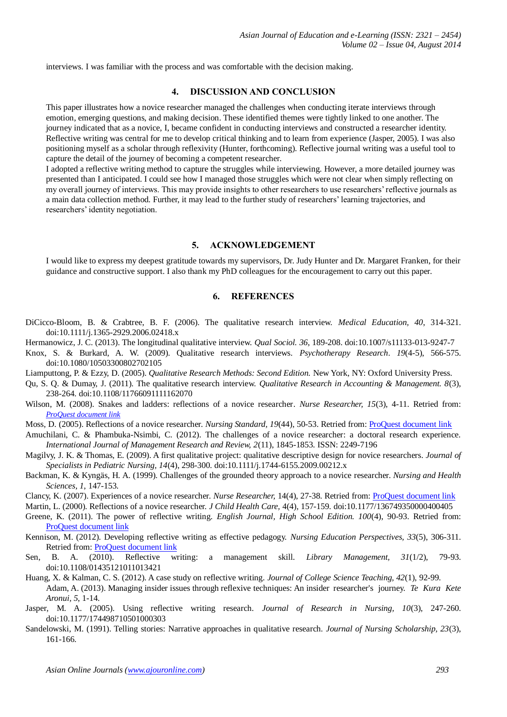interviews. I was familiar with the process and was comfortable with the decision making.

# **4. DISCUSSION AND CONCLUSION**

This paper illustrates how a novice researcher managed the challenges when conducting iterate interviews through emotion, emerging questions, and making decision. These identified themes were tightly linked to one another. The journey indicated that as a novice, I, became confident in conducting interviews and constructed a researcher identity. Reflective writing was central for me to develop critical thinking and to learn from experience (Jasper, 2005). I was also positioning myself as a scholar through reflexivity (Hunter, forthcoming). Reflective journal writing was a useful tool to capture the detail of the journey of becoming a competent researcher.

I adopted a reflective writing method to capture the struggles while interviewing. However, a more detailed journey was presented than I anticipated. I could see how I managed those struggles which were not clear when simply reflecting on my overall journey of interviews. This may provide insights to other researchers to use researchers' reflective journals as a main data collection method. Further, it may lead to the further study of researchers' learning trajectories, and researchers' identity negotiation.

## **5. ACKNOWLEDGEMENT**

I would like to express my deepest gratitude towards my supervisors, Dr. Judy Hunter and Dr. Margaret Franken, for their guidance and constructive support. I also thank my PhD colleagues for the encouragement to carry out this paper.

# **6. REFERENCES**

- DiCicco-Bloom, B. & Crabtree, B. F. (2006). The qualitative research interview. *Medical Education, 40*, 314-321. doi:10.1111/j.1365-2929.2006.02418.x
- Hermanowicz, J. C. (2013). The longitudinal qualitative interview. *Qual Sociol. 36*, 189-208. doi:10.1007/s11133-013-9247-7
- Knox, S. & Burkard, A. W. (2009). Qualitative research interviews. *Psychotherapy Research*. *19*(4-5), 566-575. doi:10.1080/10503300802702105
- Liamputtong, P. & Ezzy, D. (2005). *Qualitative Research Methods: Second Edition.* New York, NY: Oxford University Press.
- Qu, S. Q. & Dumay, J. (2011). The qualitative research interview. *Qualitative Research in Accounting & Management. 8*(3), 238-264. doi:10.1108/11766091111162070
- Wilson, M. (2008). Snakes and ladders: reflections of a novice researcher. *Nurse Researcher*, 15(3), 4-11. Retried from: *[ProQuest document link](http://ezproxy.waikato.ac.nz/login?url=http://search.proquest.com/docview/200829919?accountid=17287)*
- Moss, D. (2005). Reflections of a novice researcher. *Nursing Standard, 19*(44), 50-53. Retried from[: ProQuest document link](http://ezproxy.waikato.ac.nz/login?url=http://search.proquest.com/docview/200829919?accountid=17287)
- Amuchilani, C. & Phambuka-Nsimbi, C. (2012). The challenges of a novice researcher: a doctoral research experience. *International Journal of Management Research and Review, 2*(11), 1845-1853. ISSN: 2249-7196
- Magilvy, J. K. & Thomas, E. (2009). A first qualitative project: qualitative descriptive design for novice researchers. *Journal of Specialists in Pediatric Nursing, 14*(4), 298-300. doi:10.1111/j.1744-6155.2009.00212.x
- Backman, K. & Kyngäs, H. A. (1999). Challenges of the grounded theory approach to a novice researcher. *Nursing and Health Sciences, 1*, 147-153.
- Clancy, K. (2007). Experiences of a novice researcher. *Nurse Researcher,* 14(4), 27-38. Retried from[: ProQuest document link](http://ezproxy.waikato.ac.nz/login?url=http://search.proquest.com/docview/200829919?accountid=17287)
- Martin, L. (2000). Reflections of a novice researcher. *J Child Health Care,* 4(4), 157-159. doi:10.1177/136749350000400405
- Greene, K. (2011). The power of reflective writing. *English Journal, High School Edition. 100*(4), 90-93. Retried from: [ProQuest document link](http://ezproxy.waikato.ac.nz/login?url=http://search.proquest.com/docview/200829919?accountid=17287)
- Kennison, M. (2012). Developing reflective writing as effective pedagogy. *Nursing Education Perspectives, 33*(5), 306-311. Retried from[: ProQuest document link](http://ezproxy.waikato.ac.nz/login?url=http://search.proquest.com/docview/200829919?accountid=17287)
- Sen, B. A. (2010). Reflective writing: a management skill. *Library Management, 31*(1/2), 79-93. doi:10.1108/01435121011013421
- Huang, X. & Kalman, C. S. (2012). A case study on reflective writing. *Journal of College Science Teaching, 42*(1), 92-99. Adam, A. (2013). Managing insider issues through reflexive techniques: An insider researcher's journey. *Te Kura Kete Aronui, 5*, 1-14.
- Jasper, M. A. (2005). Using reflective writing research. *Journal of Research in Nursing, 10*(3), 247-260. doi:10.1177/174498710501000303
- Sandelowski, M. (1991). Telling stories: Narrative approaches in qualitative research. *Journal of Nursing Scholarship, 23*(3), 161-166.